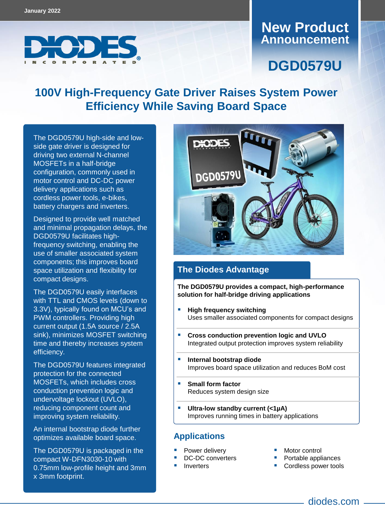

### **Announcement New Product**

# **DGD0579U**

## **100V High-Frequency Gate Driver Raises System Power Efficiency While Saving Board Space**

The DGD0579U high-side and lowside gate driver is designed for driving two external N-channel MOSFETs in a half-bridge configuration, commonly used in motor control and DC-DC power delivery applications such as cordless power tools, e-bikes, battery chargers and inverters.

Designed to provide well matched and minimal propagation delays, the DGD0579U facilitates highfrequency switching, enabling the use of smaller associated system components; this improves board space utilization and flexibility for compact designs.

The DGD0579U easily interfaces with TTL and CMOS levels (down to 3.3V), typically found on MCU's and PWM controllers. Providing high current output (1.5A source / 2.5A sink), minimizes MOSFET switching time and thereby increases system efficiency.

The DGD0579U features integrated protection for the connected MOSFETs, which includes cross conduction prevention logic and undervoltage lockout (UVLO), reducing component count and improving system reliability.

An internal bootstrap diode further optimizes available board space.

The DGD0579U is packaged in the compact W-DFN3030-10 with 0.75mm low-profile height and 3mm x 3mm footprint.



#### **The Diodes Advantage**

**The DGD0579U provides a compact, high-performance solution for half-bridge driving applications**

- **High frequency switching** Uses smaller associated components for compact designs
- **Cross conduction prevention logic and UVLO**  Integrated output protection improves system reliability
- **Internal bootstrap diode**  Improves board space utilization and reduces BoM cost
- **Small form factor** Reduces system design size
- **Ultra-low standby current (<1µA)** Improves running times in battery applications

#### **Applications**

- Power delivery
	- DC-DC converters
- Inverters
- **Motor control**
- **Portable appliances**
- **Cordless power tools** 
	- diodes.com